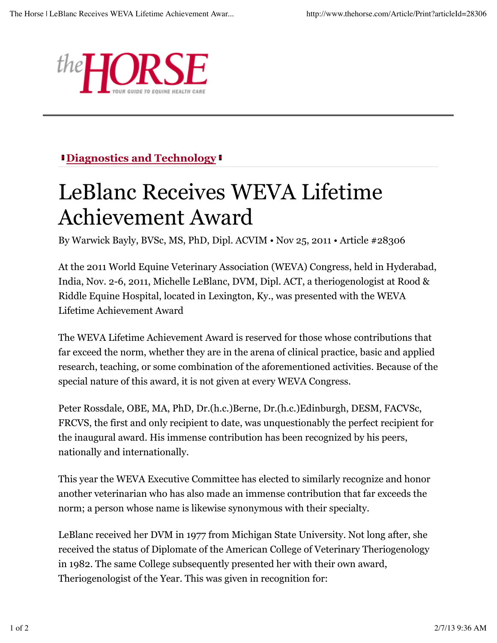

## **Diagnostics and Technology**

## LeBlanc Receives WEVA Lifetime Achievement Award

By Warwick Bayly, BVSc, MS, PhD, Dipl. ACVIM • Nov 25, 2011 • Article #28306

At the 2011 World Equine Veterinary Association (WEVA) Congress, held in Hyderabad, India, Nov. 2-6, 2011, Michelle LeBlanc, DVM, Dipl. ACT, a theriogenologist at Rood & Riddle Equine Hospital, located in Lexington, Ky., was presented with the WEVA Lifetime Achievement Award

The WEVA Lifetime Achievement Award is reserved for those whose contributions that far exceed the norm, whether they are in the arena of clinical practice, basic and applied research, teaching, or some combination of the aforementioned activities. Because of the special nature of this award, it is not given at every WEVA Congress.

Peter Rossdale, OBE, MA, PhD, Dr.(h.c.)Berne, Dr.(h.c.)Edinburgh, DESM, FACVSc, FRCVS, the first and only recipient to date, was unquestionably the perfect recipient for the inaugural award. His immense contribution has been recognized by his peers, nationally and internationally.

This year the WEVA Executive Committee has elected to similarly recognize and honor another veterinarian who has also made an immense contribution that far exceeds the norm; a person whose name is likewise synonymous with their specialty.

LeBlanc received her DVM in 1977 from Michigan State University. Not long after, she received the status of Diplomate of the American College of Veterinary Theriogenology in 1982. The same College subsequently presented her with their own award, Theriogenologist of the Year. This was given in recognition for: